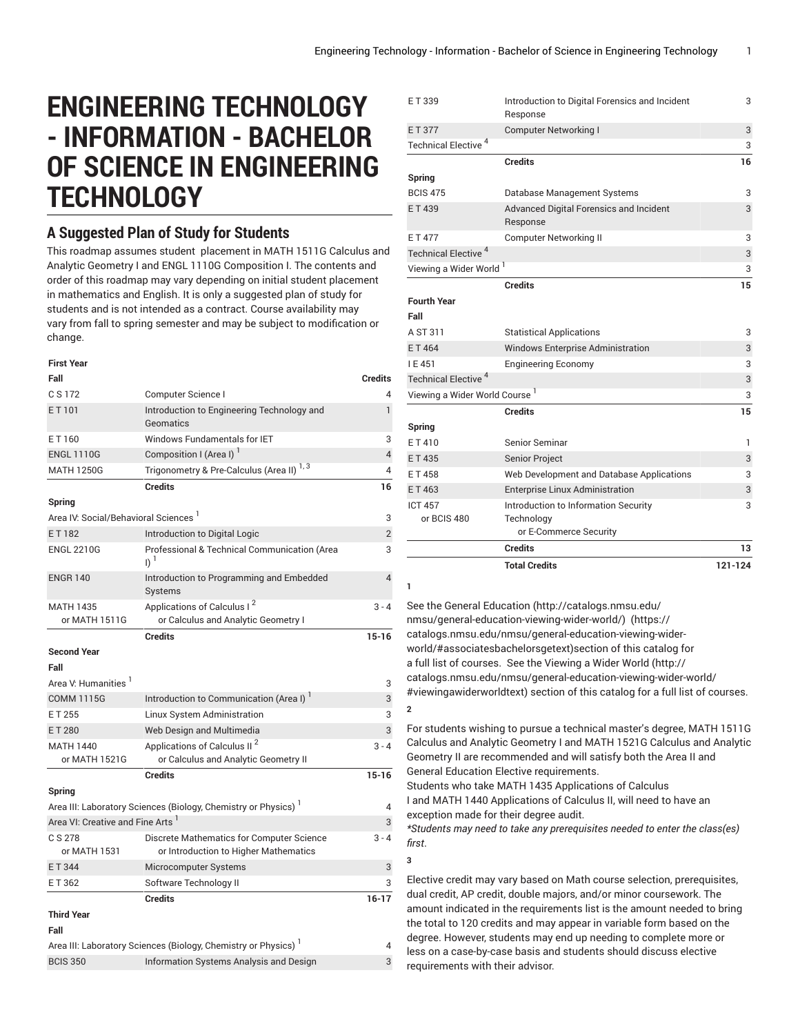## **ENGINEERING TECHNOLOGY - INFORMATION - BACHELOR OF SCIENCE IN ENGINEERING TECHNOLOGY**

## **A Suggested Plan of Study for Students**

This roadmap assumes student placement in MATH 1511G Calculus and Analytic Geometry I and ENGL 1110G Composition I. The contents and order of this roadmap may vary depending on initial student placement in mathematics and English. It is only a suggested plan of study for students and is not intended as a contract. Course availability may vary from fall to spring semester and may be subject to modification or change.

| <b>First Year</b>                                |                                                                                  |                |
|--------------------------------------------------|----------------------------------------------------------------------------------|----------------|
| Fall                                             |                                                                                  | <b>Credits</b> |
| C S 172                                          | Computer Science I                                                               | 4              |
| ET101                                            | Introduction to Engineering Technology and<br>Geomatics                          | $\mathbf{1}$   |
| ET160                                            | <b>Windows Fundamentals for IET</b>                                              | 3              |
| <b>ENGL 1110G</b>                                | Composition I (Area I) <sup>1</sup>                                              | $\overline{4}$ |
| <b>MATH 1250G</b>                                | Trigonometry & Pre-Calculus (Area II) 1, 3                                       | 4              |
|                                                  | <b>Credits</b>                                                                   | 16             |
| Spring                                           |                                                                                  |                |
| Area IV: Social/Behavioral Sciences <sup>1</sup> |                                                                                  | 3              |
| ET182                                            | Introduction to Digital Logic                                                    | $\overline{2}$ |
| <b>ENGL 2210G</b>                                | Professional & Technical Communication (Area<br>$1)^{1}$                         | 3              |
| <b>ENGR 140</b>                                  | Introduction to Programming and Embedded<br><b>Systems</b>                       | $\overline{4}$ |
| <b>MATH 1435</b>                                 | Applications of Calculus I <sup>2</sup>                                          | $3 - 4$        |
| or MATH 1511G                                    | or Calculus and Analytic Geometry I                                              |                |
| <b>Second Year</b><br>Fall                       | <b>Credits</b>                                                                   | $15 - 16$      |
| Area V: Humanities 1                             |                                                                                  | 3              |
| <b>COMM 1115G</b>                                | Introduction to Communication (Area I)                                           | 3              |
| ET 255                                           | Linux System Administration                                                      | 3              |
| ET 280                                           | Web Design and Multimedia                                                        | 3              |
| <b>MATH 1440</b><br>or MATH 1521G                | Applications of Calculus II <sup>2</sup><br>or Calculus and Analytic Geometry II | $3 - 4$        |
|                                                  | <b>Credits</b>                                                                   | $15-16$        |
| Spring                                           |                                                                                  |                |
|                                                  | Area III: Laboratory Sciences (Biology, Chemistry or Physics) <sup>1</sup>       | 4              |
| Area VI: Creative and Fine Arts <sup>1</sup>     |                                                                                  | 3              |
| C S 278                                          | Discrete Mathematics for Computer Science                                        | $3 - 4$        |
| or MATH 1531                                     | or Introduction to Higher Mathematics                                            |                |
| ET 344                                           | Microcomputer Systems                                                            | 3              |
| ET 362                                           | Software Technology II                                                           | 3              |
|                                                  | <b>Credits</b>                                                                   | $16 - 17$      |
| <b>Third Year</b><br>Fall                        |                                                                                  |                |
|                                                  | Area III: Laboratory Sciences (Biology, Chemistry or Physics) <sup>1</sup>       | 4              |
| <b>BCIS 350</b>                                  | Information Systems Analysis and Design                                          | 3              |

| or E-Commerce Security<br><b>Credits</b><br><b>Total Credits</b>          | 13<br>121-124 |
|---------------------------------------------------------------------------|---------------|
|                                                                           |               |
| or BCIS 480<br>Technology                                                 |               |
| <b>ICT 457</b><br>Introduction to Information Security                    | 3             |
| <b>Enterprise Linux Administration</b><br>ET463                           | 3             |
| Web Development and Database Applications<br>ET458                        | 3             |
| ET435<br><b>Senior Project</b>                                            | 3             |
| Spring<br>ET410<br>Senior Seminar                                         | 1             |
| <b>Credits</b>                                                            | 15            |
| Viewing a Wider World Course <sup>1</sup>                                 | 3             |
| Technical Elective <sup>4</sup>                                           | 3             |
| IE451<br><b>Engineering Economy</b>                                       | 3             |
| ET464<br><b>Windows Enterprise Administration</b>                         | 3             |
| A ST 311<br><b>Statistical Applications</b>                               | 3             |
| Fall                                                                      |               |
| <b>Fourth Year</b>                                                        |               |
| <b>Credits</b>                                                            | 15            |
| Viewing a Wider World <sup>1</sup>                                        | 3             |
| Technical Elective <sup>4</sup>                                           | 3             |
| ET 477<br><b>Computer Networking II</b>                                   | 3             |
| ET439<br>Advanced Digital Forensics and Incident<br>Response              | 3             |
| <b>BCIS 475</b><br>Database Management Systems                            | 3             |
| Spring                                                                    |               |
| <b>Credits</b>                                                            | 3<br>16       |
| ET 377<br><b>Computer Networking I</b><br>Technical Elective <sup>4</sup> | 3             |
| ET339<br>Introduction to Digital Forensics and Incident<br>Response       | 3             |

See the General [Education](http://catalogs.nmsu.edu/nmsu/general-education-viewing-wider-world/) ([http://catalogs.nmsu.edu/](http://catalogs.nmsu.edu/nmsu/general-education-viewing-wider-world/) [nmsu/general-education-viewing-wider-world/](http://catalogs.nmsu.edu/nmsu/general-education-viewing-wider-world/)[\)](https://catalogs.nmsu.edu/nmsu/general-education-viewing-wider-world/#associatesbachelorsgetext) ([https://](https://catalogs.nmsu.edu/nmsu/general-education-viewing-wider-world/#associatesbachelorsgetext) [catalogs.nmsu.edu/nmsu/general-education-viewing-wider](https://catalogs.nmsu.edu/nmsu/general-education-viewing-wider-world/#associatesbachelorsgetext)[world/#associatesbachelorsgetext\)](https://catalogs.nmsu.edu/nmsu/general-education-viewing-wider-world/#associatesbachelorsgetext)section of this catalog for a full list of courses. See the [Viewing](http://catalogs.nmsu.edu/nmsu/general-education-viewing-wider-world/#viewingawiderworldtext) a Wider World ([http://](http://catalogs.nmsu.edu/nmsu/general-education-viewing-wider-world/#viewingawiderworldtext) [catalogs.nmsu.edu/nmsu/general-education-viewing-wider-world/](http://catalogs.nmsu.edu/nmsu/general-education-viewing-wider-world/#viewingawiderworldtext) [#viewingawiderworldtext](http://catalogs.nmsu.edu/nmsu/general-education-viewing-wider-world/#viewingawiderworldtext)) section of this catalog for a full list of courses. **2**

For students wishing to pursue a technical master's degree, MATH 1511G Calculus and Analytic Geometry I and MATH 1521G Calculus and Analytic Geometry II are recommended and will satisfy both the Area II and General Education Elective requirements.

Students who take MATH 1435 Applications of Calculus I and MATH 1440 Applications of Calculus II, will need to have an exception made for their degree audit.

*\*Students may need to take any prerequisites needed to enter the class(es) first*.

**3**

Elective credit may vary based on Math course selection, prerequisites, dual credit, AP credit, double majors, and/or minor coursework. The amount indicated in the requirements list is the amount needed to bring the total to 120 credits and may appear in variable form based on the degree. However, students may end up needing to complete more or less on a case-by-case basis and students should discuss elective requirements with their advisor.